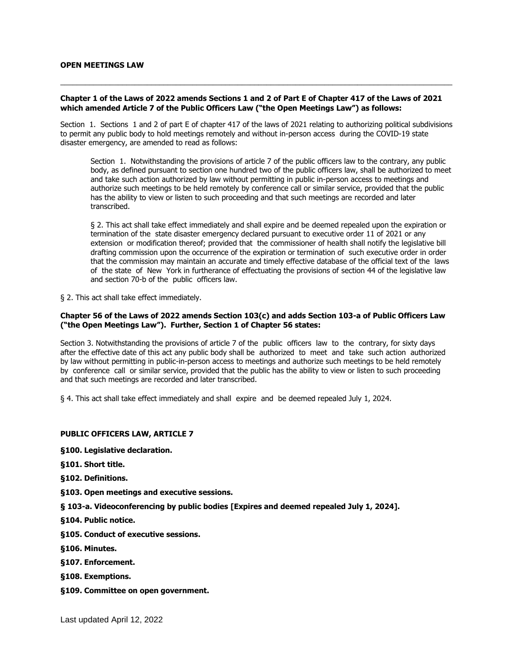#### **OPEN MEETINGS LAW**

## **Chapter 1 of the Laws of 2022 amends Sections 1 and 2 of Part E of Chapter 417 of the Laws of 2021 which amended Article 7 of the Public Officers Law ("the Open Meetings Law") as follows:**

\_\_\_\_\_\_\_\_\_\_\_\_\_\_\_\_\_\_\_\_\_\_\_\_\_\_\_\_\_\_\_\_\_\_\_\_\_\_\_\_\_\_\_\_\_\_\_\_\_\_\_\_\_\_\_\_\_\_\_\_\_\_\_\_\_\_\_\_\_\_\_\_\_\_\_\_\_\_\_\_\_\_\_\_\_\_\_\_\_\_\_\_\_\_\_

Section 1. Sections 1 and 2 of part E of chapter 417 of the laws of 2021 relating to authorizing political subdivisions to permit any public body to hold meetings remotely and without in-person access during the COVID-19 state disaster emergency, are amended to read as follows:

Section 1. Notwithstanding the provisions of article 7 of the public officers law to the contrary, any public body, as defined pursuant to section one hundred two of the public officers law, shall be authorized to meet and take such action authorized by law without permitting in public in-person access to meetings and authorize such meetings to be held remotely by conference call or similar service, provided that the public has the ability to view or listen to such proceeding and that such meetings are recorded and later transcribed.

§ 2. This act shall take effect immediately and shall expire and be deemed repealed upon the expiration or termination of the state disaster emergency declared pursuant to executive order 11 of 2021 or any extension or modification thereof; provided that the commissioner of health shall notify the legislative bill drafting commission upon the occurrence of the expiration or termination of such executive order in order that the commission may maintain an accurate and timely effective database of the official text of the laws of the state of New York in furtherance of effectuating the provisions of section 44 of the legislative law and section 70-b of the public officers law.

§ 2. This act shall take effect immediately.

#### **Chapter 56 of the Laws of 2022 amends Section 103(c) and adds Section 103-a of Public Officers Law ("the Open Meetings Law"). Further, Section 1 of Chapter 56 states:**

Section 3. Notwithstanding the provisions of article 7 of the public officers law to the contrary, for sixty days after the effective date of this act any public body shall be authorized to meet and take such action authorized by law without permitting in public-in-person access to meetings and authorize such meetings to be held remotely by conference call or similar service, provided that the public has the ability to view or listen to such proceeding and that such meetings are recorded and later transcribed.

§ 4. This act shall take effect immediately and shall expire and be deemed repealed July 1, 2024.

## **PUBLIC OFFICERS LAW, ARTICLE 7**

**[§100. Legislative declaration.](#page-1-0)**

**[§101. Short title.](#page-1-1)**

**[§102. Definitions.](#page-1-2)**

**[§103. Open meetings and executive sessions.](#page-1-3)**

**[§ 103-a. Videoconferencing by public bodies \[Expires and deemed repealed July 1, 2024\].](#page-2-0)**

- **[§104. Public notice.](#page-3-0)**
- **[§105. Conduct of executive sessions.](#page-4-0)**
- **[§106. Minutes.](#page-4-1)**
- **[§107. Enforcement.](#page-4-2)**
- **[§108. Exemptions.](#page-5-0)**
- **[§109. Committee on open government.](#page-5-1)**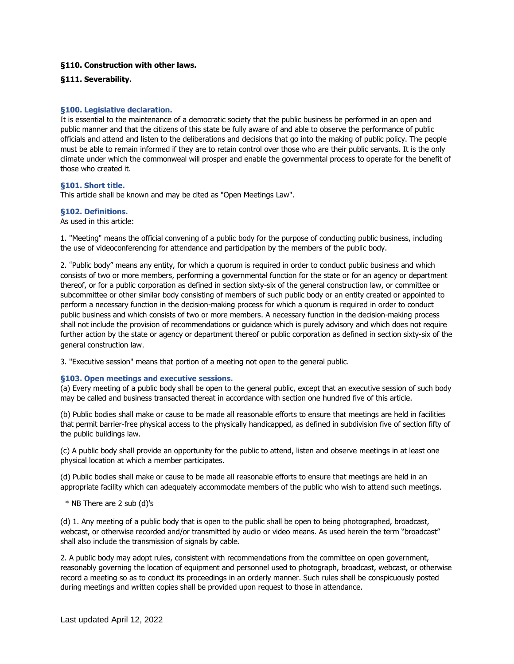# **[§110. Construction with other laws.](#page-5-2)**

## **[§111. Severability.](#page-5-3)**

#### <span id="page-1-0"></span>**§100. Legislative declaration.**

It is essential to the maintenance of a democratic society that the public business be performed in an open and public manner and that the citizens of this state be fully aware of and able to observe the performance of public officials and attend and listen to the deliberations and decisions that go into the making of public policy. The people must be able to remain informed if they are to retain control over those who are their public servants. It is the only climate under which the commonweal will prosper and enable the governmental process to operate for the benefit of those who created it.

#### <span id="page-1-1"></span>**§101. Short title.**

This article shall be known and may be cited as "Open Meetings Law".

#### <span id="page-1-2"></span>**§102. Definitions.**

As used in this article:

1. "Meeting" means the official convening of a public body for the purpose of conducting public business, including the use of videoconferencing for attendance and participation by the members of the public body.

2. "Public body" means any entity, for which a quorum is required in order to conduct public business and which consists of two or more members, performing a governmental function for the state or for an agency or department thereof, or for a public corporation as defined in section sixty-six of the general construction law, or committee or subcommittee or other similar body consisting of members of such public body or an entity created or appointed to perform a necessary function in the decision-making process for which a quorum is required in order to conduct public business and which consists of two or more members. A necessary function in the decision-making process shall not include the provision of recommendations or guidance which is purely advisory and which does not require further action by the state or agency or department thereof or public corporation as defined in section sixty-six of the general construction law.

3. "Executive session" means that portion of a meeting not open to the general public.

## <span id="page-1-3"></span>**§103. Open meetings and executive sessions.**

(a) Every meeting of a public body shall be open to the general public, except that an executive session of such body may be called and business transacted thereat in accordance with section one hundred five of this article.

(b) Public bodies shall make or cause to be made all reasonable efforts to ensure that meetings are held in facilities that permit barrier-free physical access to the physically handicapped, as defined in subdivision five of section fifty of the public buildings law.

(c) A public body shall provide an opportunity for the public to attend, listen and observe meetings in at least one physical location at which a member participates.

(d) Public bodies shall make or cause to be made all reasonable efforts to ensure that meetings are held in an appropriate facility which can adequately accommodate members of the public who wish to attend such meetings.

\* NB There are 2 sub (d)'s

(d) 1. Any meeting of a public body that is open to the public shall be open to being photographed, broadcast, webcast, or otherwise recorded and/or transmitted by audio or video means. As used herein the term "broadcast" shall also include the transmission of signals by cable.

2. A public body may adopt rules, consistent with recommendations from the committee on open government, reasonably governing the location of equipment and personnel used to photograph, broadcast, webcast, or otherwise record a meeting so as to conduct its proceedings in an orderly manner. Such rules shall be conspicuously posted during meetings and written copies shall be provided upon request to those in attendance.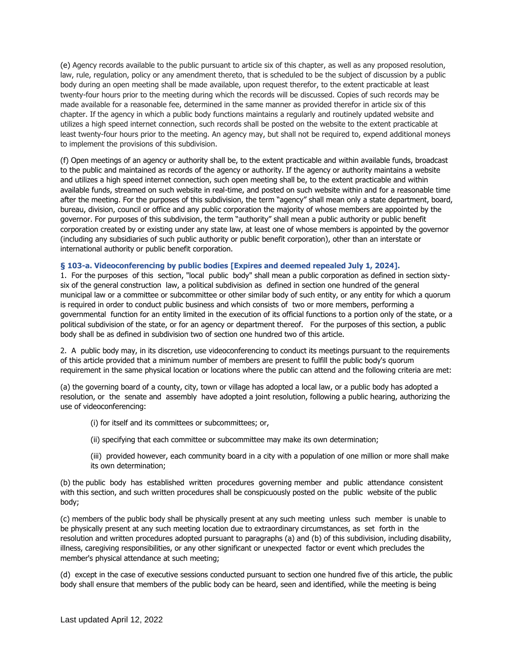(e) Agency records available to the public pursuant to article six of this chapter, as well as any proposed resolution, law, rule, regulation, policy or any amendment thereto, that is scheduled to be the subject of discussion by a public body during an open meeting shall be made available, upon request therefor, to the extent practicable at least twenty-four hours prior to the meeting during which the records will be discussed. Copies of such records may be made available for a reasonable fee, determined in the same manner as provided therefor in article six of this chapter. If the agency in which a public body functions maintains a regularly and routinely updated website and utilizes a high speed internet connection, such records shall be posted on the website to the extent practicable at least twenty-four hours prior to the meeting. An agency may, but shall not be required to, expend additional moneys to implement the provisions of this subdivision.

(f) Open meetings of an agency or authority shall be, to the extent practicable and within available funds, broadcast to the public and maintained as records of the agency or authority. If the agency or authority maintains a website and utilizes a high speed internet connection, such open meeting shall be, to the extent practicable and within available funds, streamed on such website in real-time, and posted on such website within and for a reasonable time after the meeting. For the purposes of this subdivision, the term "agency" shall mean only a state department, board, bureau, division, council or office and any public corporation the majority of whose members are appointed by the governor. For purposes of this subdivision, the term "authority" shall mean a public authority or public benefit corporation created by or existing under any state law, at least one of whose members is appointed by the governor (including any subsidiaries of such public authority or public benefit corporation), other than an interstate or international authority or public benefit corporation.

## <span id="page-2-0"></span>**§ 103-a. Videoconferencing by public bodies [Expires and deemed repealed July 1, 2024].**

1. For the purposes of this section, "local public body" shall mean a public corporation as defined in section sixtysix of the general construction law, a political subdivision as defined in section one hundred of the general municipal law or a committee or subcommittee or other similar body of such entity, or any entity for which a quorum is required in order to conduct public business and which consists of two or more members, performing a governmental function for an entity limited in the execution of its official functions to a portion only of the state, or a political subdivision of the state, or for an agency or department thereof. For the purposes of this section, a public body shall be as defined in subdivision two of section one hundred two of this article.

2. A public body may, in its discretion, use videoconferencing to conduct its meetings pursuant to the requirements of this article provided that a minimum number of members are present to fulfill the public body's quorum requirement in the same physical location or locations where the public can attend and the following criteria are met:

(a) the governing board of a county, city, town or village has adopted a local law, or a public body has adopted a resolution, or the senate and assembly have adopted a joint resolution, following a public hearing, authorizing the use of videoconferencing:

- (i) for itself and its committees or subcommittees; or,
- (ii) specifying that each committee or subcommittee may make its own determination;
- (iii) provided however, each community board in a city with a population of one million or more shall make its own determination;

(b) the public body has established written procedures governing member and public attendance consistent with this section, and such written procedures shall be conspicuously posted on the public website of the public body;

(c) members of the public body shall be physically present at any such meeting unless such member is unable to be physically present at any such meeting location due to extraordinary circumstances, as set forth in the resolution and written procedures adopted pursuant to paragraphs (a) and (b) of this subdivision, including disability, illness, caregiving responsibilities, or any other significant or unexpected factor or event which precludes the member's physical attendance at such meeting;

(d) except in the case of executive sessions conducted pursuant to section one hundred five of this article, the public body shall ensure that members of the public body can be heard, seen and identified, while the meeting is being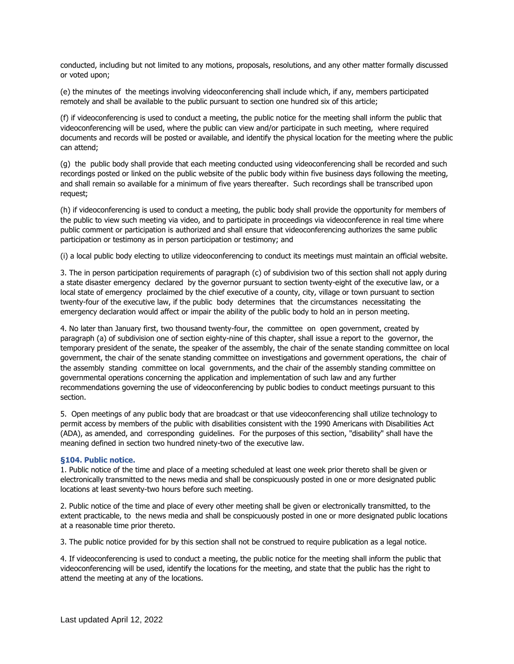conducted, including but not limited to any motions, proposals, resolutions, and any other matter formally discussed or voted upon;

(e) the minutes of the meetings involving videoconferencing shall include which, if any, members participated remotely and shall be available to the public pursuant to section one hundred six of this article;

(f) if videoconferencing is used to conduct a meeting, the public notice for the meeting shall inform the public that videoconferencing will be used, where the public can view and/or participate in such meeting, where required documents and records will be posted or available, and identify the physical location for the meeting where the public can attend;

(g) the public body shall provide that each meeting conducted using videoconferencing shall be recorded and such recordings posted or linked on the public website of the public body within five business days following the meeting, and shall remain so available for a minimum of five years thereafter. Such recordings shall be transcribed upon request;

(h) if videoconferencing is used to conduct a meeting, the public body shall provide the opportunity for members of the public to view such meeting via video, and to participate in proceedings via videoconference in real time where public comment or participation is authorized and shall ensure that videoconferencing authorizes the same public participation or testimony as in person participation or testimony; and

(i) a local public body electing to utilize videoconferencing to conduct its meetings must maintain an official website.

3. The in person participation requirements of paragraph (c) of subdivision two of this section shall not apply during a state disaster emergency declared by the governor pursuant to section twenty-eight of the executive law, or a local state of emergency proclaimed by the chief executive of a county, city, village or town pursuant to section twenty-four of the executive law, if the public body determines that the circumstances necessitating the emergency declaration would affect or impair the ability of the public body to hold an in person meeting.

4. No later than January first, two thousand twenty-four, the committee on open government, created by paragraph (a) of subdivision one of section eighty-nine of this chapter, shall issue a report to the governor, the temporary president of the senate, the speaker of the assembly, the chair of the senate standing committee on local government, the chair of the senate standing committee on investigations and government operations, the chair of the assembly standing committee on local governments, and the chair of the assembly standing committee on governmental operations concerning the application and implementation of such law and any further recommendations governing the use of videoconferencing by public bodies to conduct meetings pursuant to this section.

5. Open meetings of any public body that are broadcast or that use videoconferencing shall utilize technology to permit access by members of the public with disabilities consistent with the 1990 Americans with Disabilities Act (ADA), as amended, and corresponding guidelines. For the purposes of this section, "disability" shall have the meaning defined in section two hundred ninety-two of the executive law.

## <span id="page-3-0"></span>**§104. Public notice.**

1. Public notice of the time and place of a meeting scheduled at least one week prior thereto shall be given or electronically transmitted to the news media and shall be conspicuously posted in one or more designated public locations at least seventy-two hours before such meeting.

2. Public notice of the time and place of every other meeting shall be given or electronically transmitted, to the extent practicable, to the news media and shall be conspicuously posted in one or more designated public locations at a reasonable time prior thereto.

3. The public notice provided for by this section shall not be construed to require publication as a legal notice.

4. If videoconferencing is used to conduct a meeting, the public notice for the meeting shall inform the public that videoconferencing will be used, identify the locations for the meeting, and state that the public has the right to attend the meeting at any of the locations.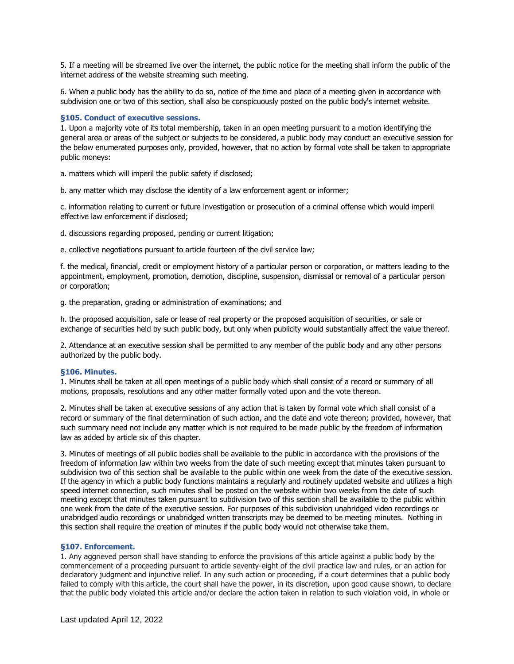5. If a meeting will be streamed live over the internet, the public notice for the meeting shall inform the public of the internet address of the website streaming such meeting.

6. When a public body has the ability to do so, notice of the time and place of a meeting given in accordance with subdivision one or two of this section, shall also be conspicuously posted on the public body's internet website.

#### <span id="page-4-0"></span>**§105. Conduct of executive sessions.**

1. Upon a majority vote of its total membership, taken in an open meeting pursuant to a motion identifying the general area or areas of the subject or subjects to be considered, a public body may conduct an executive session for the below enumerated purposes only, provided, however, that no action by formal vote shall be taken to appropriate public moneys:

a. matters which will imperil the public safety if disclosed;

b. any matter which may disclose the identity of a law enforcement agent or informer;

c. information relating to current or future investigation or prosecution of a criminal offense which would imperil effective law enforcement if disclosed;

d. discussions regarding proposed, pending or current litigation;

e. collective negotiations pursuant to article fourteen of the civil service law;

f. the medical, financial, credit or employment history of a particular person or corporation, or matters leading to the appointment, employment, promotion, demotion, discipline, suspension, dismissal or removal of a particular person or corporation;

g. the preparation, grading or administration of examinations; and

h. the proposed acquisition, sale or lease of real property or the proposed acquisition of securities, or sale or exchange of securities held by such public body, but only when publicity would substantially affect the value thereof.

2. Attendance at an executive session shall be permitted to any member of the public body and any other persons authorized by the public body.

#### <span id="page-4-1"></span>**§106. Minutes.**

1. Minutes shall be taken at all open meetings of a public body which shall consist of a record or summary of all motions, proposals, resolutions and any other matter formally voted upon and the vote thereon.

2. Minutes shall be taken at executive sessions of any action that is taken by formal vote which shall consist of a record or summary of the final determination of such action, and the date and vote thereon; provided, however, that such summary need not include any matter which is not required to be made public by the freedom of information law as added by article six of this chapter.

3. Minutes of meetings of all public bodies shall be available to the public in accordance with the provisions of the freedom of information law within two weeks from the date of such meeting except that minutes taken pursuant to subdivision two of this section shall be available to the public within one week from the date of the executive session. If the agency in which a public body functions maintains a regularly and routinely updated website and utilizes a high speed internet connection, such minutes shall be posted on the website within two weeks from the date of such meeting except that minutes taken pursuant to subdivision two of this section shall be available to the public within one week from the date of the executive session. For purposes of this subdivision unabridged video recordings or unabridged audio recordings or unabridged written transcripts may be deemed to be meeting minutes. Nothing in this section shall require the creation of minutes if the public body would not otherwise take them.

## <span id="page-4-2"></span>**§107. Enforcement.**

1. Any aggrieved person shall have standing to enforce the provisions of this article against a public body by the commencement of a proceeding pursuant to article seventy-eight of the civil practice law and rules, or an action for declaratory judgment and injunctive relief. In any such action or proceeding, if a court determines that a public body failed to comply with this article, the court shall have the power, in its discretion, upon good cause shown, to declare that the public body violated this article and/or declare the action taken in relation to such violation void, in whole or